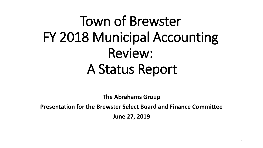# Town of Brewster FY 2018 Municipal Accounting Review: A Status Report

**The Abrahams Group**

**Presentation for the Brewster Select Board and Finance Committee**

**June 27, 2019**

1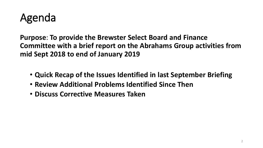

**Purpose**: **To provide the Brewster Select Board and Finance Committee with a brief report on the Abrahams Group activities from mid Sept 2018 to end of January 2019** 

- **Quick Recap of the Issues Identified in last September Briefing**
- **Review Additional Problems Identified Since Then**
- **Discuss Corrective Measures Taken**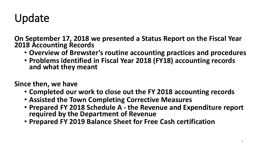### Update

**On September 17, 2018 we presented a Status Report on the Fiscal Year 2018 Accounting Records**

- **Overview of Brewster's routine accounting practices and procedures**
- **Problems identified in Fiscal Year 2018 (FY18) accounting records and what they meant**

**Since then, we have**

- **Completed our work to close out the FY 2018 accounting records**
- **Assisted the Town Completing Corrective Measures**
- **Prepared FY 2018 Schedule A - the Revenue and Expenditure report required by the Department of Revenue**
- **Prepared FY 2019 Balance Sheet for Free Cash certification**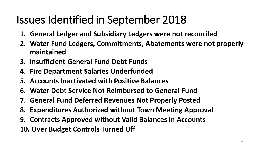# Issues Identified in September 2018

- **1. General Ledger and Subsidiary Ledgers were not reconciled**
- **2. Water Fund Ledgers, Commitments, Abatements were not properly maintained**
- **3. Insufficient General Fund Debt Funds**
- **4. Fire Department Salaries Underfunded**
- **5. Accounts Inactivated with Positive Balances**
- **6. Water Debt Service Not Reimbursed to General Fund**
- **7. General Fund Deferred Revenues Not Properly Posted**
- **8. Expenditures Authorized without Town Meeting Approval**
- **9. Contracts Approved without Valid Balances in Accounts**
- **10. Over Budget Controls Turned Off**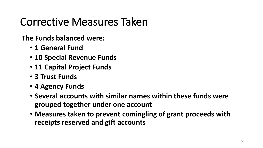### Corrective Measures Taken

**The Funds balanced were:**

- **1 General Fund**
- **10 Special Revenue Funds**
- **11 Capital Project Funds**
- **3 Trust Funds**
- **4 Agency Funds**
- **Several accounts with similar names within these funds were grouped together under one account**
- **Measures taken to prevent comingling of grant proceeds with receipts reserved and gift accounts**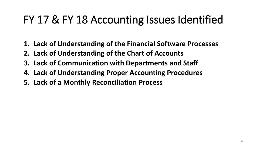# FY 17 & FY 18 Accounting Issues Identified

- **1. Lack of Understanding of the Financial Software Processes**
- **2. Lack of Understanding of the Chart of Accounts**
- **3. Lack of Communication with Departments and Staff**
- **4. Lack of Understanding Proper Accounting Procedures**
- **5. Lack of a Monthly Reconciliation Process**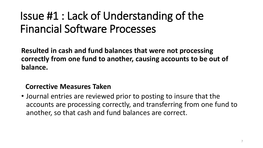# Issue #1 : Lack of Understanding of the Financial Software Processes

**Resulted in cash and fund balances that were not processing correctly from one fund to another, causing accounts to be out of balance.**

#### **Corrective Measures Taken**

• Journal entries are reviewed prior to posting to insure that the accounts are processing correctly, and transferring from one fund to another, so that cash and fund balances are correct.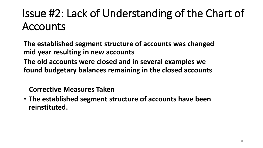# Issue #2: Lack of Understanding of the Chart of **Accounts**

**The established segment structure of accounts was changed mid year resulting in new accounts The old accounts were closed and in several examples we found budgetary balances remaining in the closed accounts**

**Corrective Measures Taken**

• **The established segment structure of accounts have been reinstituted.**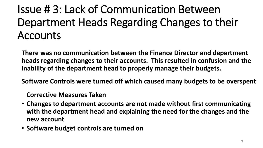# Issue # 3: Lack of Communication Between Department Heads Regarding Changes to their **Accounts**

**There was no communication between the Finance Director and department heads regarding changes to their accounts. This resulted in confusion and the inability of the department head to properly manage their budgets.** 

**Software Controls were turned off which caused many budgets to be overspent**

**Corrective Measures Taken**

- **Changes to department accounts are not made without first communicating with the department head and explaining the need for the changes and the new account**
- **Software budget controls are turned on**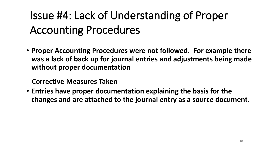# Issue #4: Lack of Understanding of Proper Accounting Procedures

• **Proper Accounting Procedures were not followed. For example there was a lack of back up for journal entries and adjustments being made without proper documentation**

**Corrective Measures Taken**

• **Entries have proper documentation explaining the basis for the changes and are attached to the journal entry as a source document.**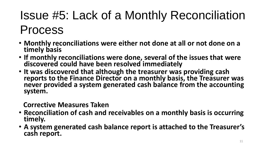# Issue #5: Lack of a Monthly Reconciliation Process

- **Monthly reconciliations were either not done at all or not done on a timely basis**
- **If monthly reconciliations were done, several of the issues that were discovered could have been resolved immediately**
- **It was discovered that although the treasurer was providing cash reports to the Finance Director on a monthly basis, the Treasurer was never provided a system generated cash balance from the accounting system.**

#### **Corrective Measures Taken**

- **Reconciliation of cash and receivables on a monthly basis is occurring timely.**
- **A system generated cash balance report is attached to the Treasurer's cash report.**